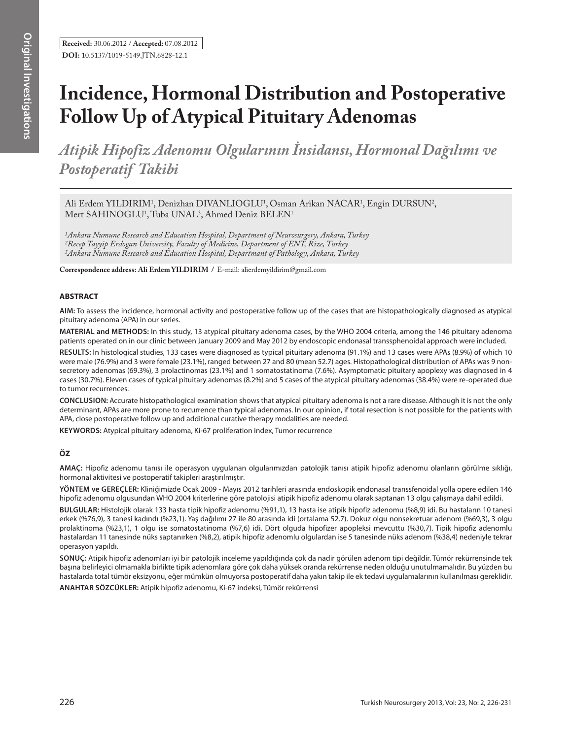**Received:** 30.06.2012 / **Accepted:** 07.08.2012 **DOI:** 10.5137/1019-5149.JTN.6828-12.1

# **Incidence, Hormonal Distribution and Postoperative Follow Up of Atypical Pituitary Adenomas**

*Atipik Hipofiz Adenomu Olgularının İnsidansı, Hormonal Dağılımı ve Postoperatif Takibi* 

Ali Erdem YILDIRIM<sup>1</sup>, Denizhan DIVANLIOGLU<sup>1</sup>, Osman Arikan NACAR<sup>1</sup>, Engin DURSUN<sup>2</sup>, Mert SAHINOGLU<sup>1</sup>, Tuba UNAL<sup>3</sup>, Ahmed Deniz BELEN<sup>1</sup>

*1Ankara Numune Research and Education Hospital, Department of Neurosurgery, Ankara, Turkey 2Recep Tayyip Erdogan University, Faculty of Medicine, Department of ENT, Rize, Turkey 3Ankara Numune Research and Education Hospital, Departmant of Pathology, Ankara, Turkey*

**Correspondence address: Ali Erdem YILDIRIM /** E-mail: alierdemyildirim@gmail.com

### **ABSTRACT**

**AIm:** To assess the incidence, hormonal activity and postoperative follow up of the cases that are histopathologically diagnosed as atypical pituitary adenoma (APA) in our series.

**MaterIal and Methods:** In this study, 13 atypical pituitary adenoma cases, by the WHO 2004 criteria, among the 146 pituitary adenoma patients operated on in our clinic between January 2009 and May 2012 by endoscopic endonasal transsphenoidal approach were included.

**Results:** In histological studies, 133 cases were diagnosed as typical pituitary adenoma (91.1%) and 13 cases were APAs (8.9%) of which 10 were male (76.9%) and 3 were female (23.1%), ranged between 27 and 80 (mean 52.7) ages. Histopathological distribution of APAs was 9 nonsecretory adenomas (69.3%), 3 prolactinomas (23.1%) and 1 somatostatinoma (7.6%). Asymptomatic pituitary apoplexy was diagnosed in 4 cases (30.7%). Eleven cases of typical pituitary adenomas (8.2%) and 5 cases of the atypical pituitary adenomas (38.4%) were re-operated due to tumor recurrences.

**ConclusIon:** Accurate histopathological examination shows that atypical pituitary adenoma is not a rare disease. Although it is not the only determinant, APAs are more prone to recurrence than typical adenomas. In our opinion, if total resection is not possible for the patients with APA, close postoperative follow up and additional curative therapy modalities are needed.

**Keywords:** Atypical pituitary adenoma, Ki-67 proliferation index, Tumor recurrence

# **ÖZ**

**AMAÇ:** Hipofiz adenomu tanısı ile operasyon uygulanan olgularımızdan patolojik tanısı atipik hipofiz adenomu olanların görülme sıklığı, hormonal aktivitesi ve postoperatif takipleri araştırılmıştır.

**YÖNTEM ve GEREÇLER:** Kliniğimizde Ocak 2009 - Mayıs 2012 tarihleri arasında endoskopik endonasal transsfenoidal yolla opere edilen 146 hipofiz adenomu olgusundan WHO 2004 kriterlerine göre patolojisi atipik hipofiz adenomu olarak saptanan 13 olgu çalışmaya dahil edildi.

**BULGULAR:** Histolojik olarak 133 hasta tipik hipofiz adenomu (%91,1), 13 hasta ise atipik hipofiz adenomu (%8,9) idi. Bu hastaların 10 tanesi erkek (%76,9), 3 tanesi kadındı (%23,1). Yaş dağılımı 27 ile 80 arasında idi (ortalama 52.7). Dokuz olgu nonsekretuar adenom (%69,3), 3 olgu prolaktinoma (%23,1), 1 olgu ise somatostatinoma (%7,6) idi. Dört olguda hipofizer apopleksi mevcuttu (%30,7). Tipik hipofiz adenomlu hastalardan 11 tanesinde nüks saptanırken (%8,2), atipik hipofiz adenomlu olgulardan ise 5 tanesinde nüks adenom (%38,4) nedeniyle tekrar operasyon yapıldı.

**SONUÇ:** Atipik hipofiz adenomları iyi bir patolojik inceleme yapıldığında çok da nadir görülen adenom tipi değildir. Tümör rekürrensinde tek başına belirleyici olmamakla birlikte tipik adenomlara göre çok daha yüksek oranda rekürrense neden olduğu unutulmamalıdır. Bu yüzden bu hastalarda total tümör eksizyonu, eğer mümkün olmuyorsa postoperatif daha yakın takip ile ek tedavi uygulamalarının kullanılması gereklidir.

**ANAHTAR SÖZCÜKLER:** Atipik hipofiz adenomu, Ki-67 indeksi, Tümör rekürrensi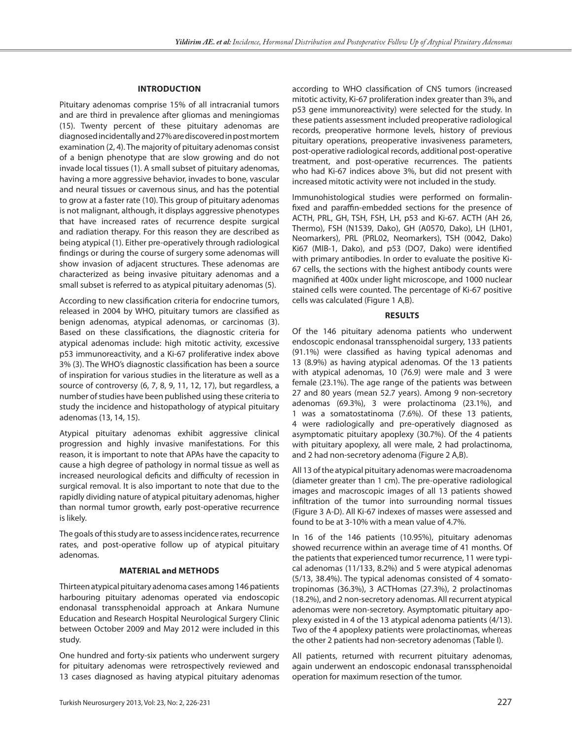## **Introduction**

Pituitary adenomas comprise 15% of all intracranial tumors and are third in prevalence after gliomas and meningiomas (15). Twenty percent of these pituitary adenomas are diagnosed incidentally and 27% are discovered in post mortem examination (2, 4). The majority of pituitary adenomas consist of a benign phenotype that are slow growing and do not invade local tissues (1). A small subset of pituitary adenomas, having a more aggressive behavior, invades to bone, vascular and neural tissues or cavernous sinus, and has the potential to grow at a faster rate (10). This group of pituitary adenomas is not malignant, although, it displays aggressive phenotypes that have increased rates of recurrence despite surgical and radiation therapy. For this reason they are described as being atypical (1). Either pre-operatively through radiological findings or during the course of surgery some adenomas will show invasion of adjacent structures. These adenomas are characterized as being invasive pituitary adenomas and a small subset is referred to as atypical pituitary adenomas (5).

According to new classification criteria for endocrine tumors, released in 2004 by WHO, pituitary tumors are classified as benign adenomas, atypical adenomas, or carcinomas (3). Based on these classifications, the diagnostic criteria for atypical adenomas include: high mitotic activity, excessive p53 immunoreactivity, and a Ki-67 proliferative index above 3% (3). The WHO's diagnostic classification has been a source of inspiration for various studies in the literature as well as a source of controversy (6, 7, 8, 9, 11, 12, 17), but regardless, a number of studies have been published using these criteria to study the incidence and histopathology of atypical pituitary adenomas (13, 14, 15).

Atypical pituitary adenomas exhibit aggressive clinical progression and highly invasive manifestations. For this reason, it is important to note that APAs have the capacity to cause a high degree of pathology in normal tissue as well as increased neurological deficits and difficulty of recession in surgical removal. It is also important to note that due to the rapidly dividing nature of atypical pituitary adenomas, higher than normal tumor growth, early post-operative recurrence is likely.

The goals of this study are to assess incidence rates, recurrence rates, and post-operative follow up of atypical pituitary adenomas.

#### **Material and Methods**

Thirteen atypical pituitary adenoma cases among 146 patients harbouring pituitary adenomas operated via endoscopic endonasal transsphenoidal approach at Ankara Numune Education and Research Hospital Neurological Surgery Clinic between October 2009 and May 2012 were included in this study.

One hundred and forty-six patients who underwent surgery for pituitary adenomas were retrospectively reviewed and 13 cases diagnosed as having atypical pituitary adenomas

according to WHO classification of CNS tumors (increased mitotic activity, Ki-67 proliferation index greater than 3%, and p53 gene immunoreactivity) were selected for the study. In these patients assessment included preoperative radiological records, preoperative hormone levels, history of previous pituitary operations, preoperative invasiveness parameters, post-operative radiological records, additional post-operative treatment, and post-operative recurrences. The patients who had Ki-67 indices above 3%, but did not present with increased mitotic activity were not included in the study.

Immunohistological studies were performed on formalinfixed and paraffin-embedded sections for the presence of ACTH, PRL, GH, TSH, FSH, LH, p53 and Ki-67. ACTH (AH 26, Thermo), FSH (N1539, Dako), GH (A0570, Dako), LH (LH01, Neomarkers), PRL (PRL02, Neomarkers), TSH (0042, Dako) Ki67 (MIB-1, Dako), and p53 (DO7, Dako) were identified with primary antibodies. In order to evaluate the positive Ki-67 cells, the sections with the highest antibody counts were magnified at 400x under light microscope, and 1000 nuclear stained cells were counted. The percentage of Ki-67 positive cells was calculated (Figure 1 A,B).

#### **Results**

Of the 146 pituitary adenoma patients who underwent endoscopic endonasal transsphenoidal surgery, 133 patients (91.1%) were classified as having typical adenomas and 13 (8.9%) as having atypical adenomas. Of the 13 patients with atypical adenomas, 10 (76.9) were male and 3 were female (23.1%). The age range of the patients was between 27 and 80 years (mean 52.7 years). Among 9 non-secretory adenomas (69.3%), 3 were prolactinoma (23.1%), and 1 was a somatostatinoma (7.6%). Of these 13 patients, 4 were radiologically and pre-operatively diagnosed as asymptomatic pituitary apoplexy (30.7%). Of the 4 patients with pituitary apoplexy, all were male, 2 had prolactinoma, and 2 had non-secretory adenoma (Figure 2 A,B).

All 13 of the atypical pituitary adenomas were macroadenoma (diameter greater than 1 cm). The pre-operative radiological images and macroscopic images of all 13 patients showed infiltration of the tumor into surrounding normal tissues (Figure 3 A-D). All Ki-67 indexes of masses were assessed and found to be at 3-10% with a mean value of 4.7%.

In 16 of the 146 patients (10.95%), pituitary adenomas showed recurrence within an average time of 41 months. Of the patients that experienced tumor recurrence, 11 were typical adenomas (11/133, 8.2%) and 5 were atypical adenomas (5/13, 38.4%). The typical adenomas consisted of 4 somatotropinomas (36.3%), 3 ACTHomas (27.3%), 2 prolactinomas (18.2%), and 2 non-secretory adenomas. All recurrent atypical adenomas were non-secretory. Asymptomatic pituitary apoplexy existed in 4 of the 13 atypical adenoma patients (4/13). Two of the 4 apoplexy patients were prolactinomas, whereas the other 2 patients had non-secretory adenomas (Table I).

All patients, returned with recurrent pituitary adenomas, again underwent an endoscopic endonasal transsphenoidal operation for maximum resection of the tumor.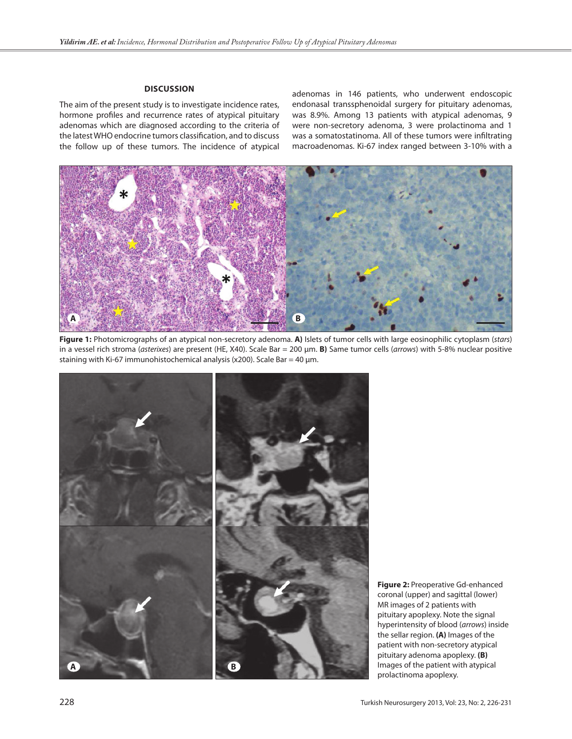# **Discussion**

The aim of the present study is to investigate incidence rates, hormone profiles and recurrence rates of atypical pituitary adenomas which are diagnosed according to the criteria of the latest WHO endocrine tumors classification, and to discuss the follow up of these tumors. The incidence of atypical adenomas in 146 patients, who underwent endoscopic endonasal transsphenoidal surgery for pituitary adenomas, was 8.9%. Among 13 patients with atypical adenomas, 9 were non-secretory adenoma, 3 were prolactinoma and 1 was a somatostatinoma. All of these tumors were infiltrating macroadenomas. Ki-67 index ranged between 3-10% with a



**Figure 1:** Photomicrographs of an atypical non-secretory adenoma. **A)** Islets of tumor cells with large eosinophilic cytoplasm (*stars*) in a vessel rich stroma (*asterixes*) are present (HE, X40). Scale Bar = 200 µm. **B)** Same tumor cells (*arrows*) with 5-8% nuclear positive staining with Ki-67 immunohistochemical analysis (x200). Scale Bar = 40  $\mu$ m.



**Figure 2:** Preoperative Gd-enhanced coronal (upper) and sagittal (lower) MR images of 2 patients with pituitary apoplexy. Note the signal hyperintensity of blood (*arrows*) inside the sellar region. **(A)** Images of the patient with non-secretory atypical pituitary adenoma apoplexy. **(B)**  Images of the patient with atypical prolactinoma apoplexy.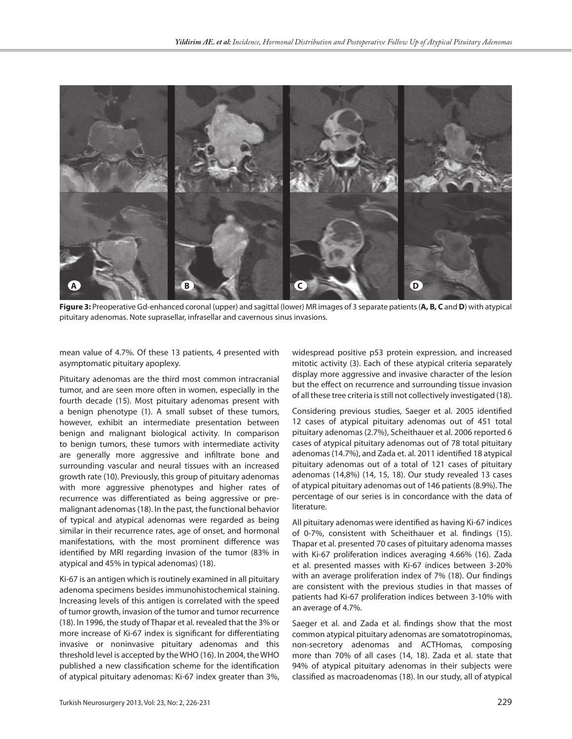

**Figure 3:** Preoperative Gd-enhanced coronal (upper) and sagittal (lower) MR images of 3 separate patients (**A, B, C** and**D**) with atypical pituitary adenomas. Note suprasellar, infrasellar and cavernous sinus invasions.

mean value of 4.7%. Of these 13 patients, 4 presented with asymptomatic pituitary apoplexy.

Pituitary adenomas are the third most common intracranial tumor, and are seen more often in women, especially in the fourth decade (15). Most pituitary adenomas present with a benign phenotype (1). A small subset of these tumors, however, exhibit an intermediate presentation between benign and malignant biological activity. In comparison to benign tumors, these tumors with intermediate activity are generally more aggressive and infiltrate bone and surrounding vascular and neural tissues with an increased growth rate (10). Previously, this group of pituitary adenomas with more aggressive phenotypes and higher rates of recurrence was differentiated as being aggressive or premalignant adenomas (18). In the past, the functional behavior of typical and atypical adenomas were regarded as being similar in their recurrence rates, age of onset, and hormonal manifestations, with the most prominent difference was identified by MRI regarding invasion of the tumor (83% in atypical and 45% in typical adenomas) (18).

Ki-67 is an antigen which is routinely examined in all pituitary adenoma specimens besides immunohistochemical staining. Increasing levels of this antigen is correlated with the speed of tumor growth, invasion of the tumor and tumor recurrence (18). In 1996, the study of Thapar et al. revealed that the 3% or more increase of Ki-67 index is significant for differentiating invasive or noninvasive pituitary adenomas and this threshold level is accepted by the WHO (16). In 2004, the WHO published a new classification scheme for the identification of atypical pituitary adenomas: Ki-67 index greater than 3%,

widespread positive p53 protein expression, and increased mitotic activity (3). Each of these atypical criteria separately display more aggressive and invasive character of the lesion but the effect on recurrence and surrounding tissue invasion of all these tree criteria is still not collectively investigated (18).

Considering previous studies, Saeger et al. 2005 identified 12 cases of atypical pituitary adenomas out of 451 total pituitary adenomas (2.7%), Scheithauer et al. 2006 reported 6 cases of atypical pituitary adenomas out of 78 total pituitary adenomas (14.7%), and Zada et. al. 2011 identified 18 atypical pituitary adenomas out of a total of 121 cases of pituitary adenomas (14,8%) (14, 15, 18). Our study revealed 13 cases of atypical pituitary adenomas out of 146 patients (8.9%). The percentage of our series is in concordance with the data of literature.

All pituitary adenomas were identified as having Ki-67 indices of 0-7%, consistent with Scheithauer et al. findings (15). Thapar et al. presented 70 cases of pituitary adenoma masses with Ki-67 proliferation indices averaging 4.66% (16). Zada et al. presented masses with Ki-67 indices between 3-20% with an average proliferation index of 7% (18). Our findings are consistent with the previous studies in that masses of patients had Ki-67 proliferation indices between 3-10% with an average of 4.7%.

Saeger et al. and Zada et al. findings show that the most common atypical pituitary adenomas are somatotropinomas, non-secretory adenomas and ACTHomas, composing more than 70% of all cases (14, 18). Zada et al. state that 94% of atypical pituitary adenomas in their subjects were classified as macroadenomas (18). In our study, all of atypical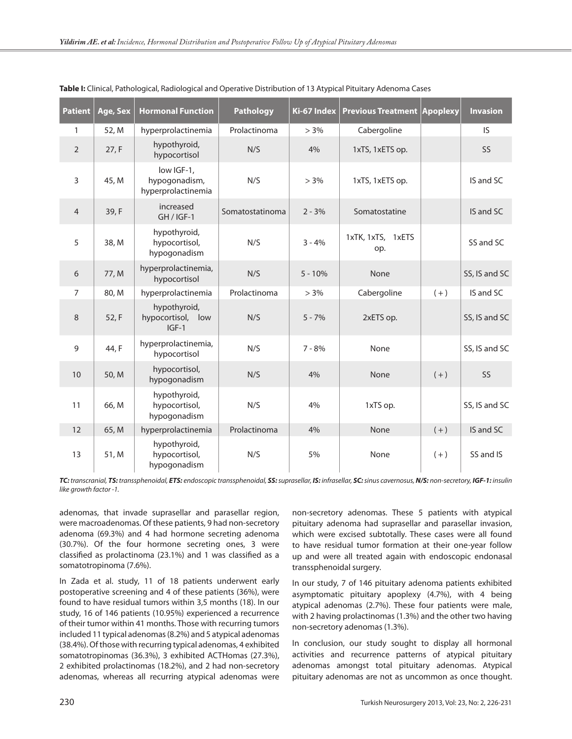| <b>Patient</b> | Age, Sex | <b>Hormonal Function</b>                          | <b>Pathology</b> | Ki-67 Index | <b>Previous Treatment Apoplexy</b> |       | <b>Invasion</b> |
|----------------|----------|---------------------------------------------------|------------------|-------------|------------------------------------|-------|-----------------|
| 1              | 52, M    | hyperprolactinemia                                | Prolactinoma     | $> 3\%$     | Cabergoline                        |       | <b>IS</b>       |
| $\overline{2}$ | 27, F    | hypothyroid,<br>hypocortisol                      | N/S              | 4%          | 1xTS, 1xETS op.                    |       | <b>SS</b>       |
| 3              | 45, M    | low IGF-1,<br>hypogonadism,<br>hyperprolactinemia | N/S              | $> 3\%$     | 1xTS, 1xETS op.                    |       | IS and SC       |
| $\overline{4}$ | 39, F    | increased<br>$GH / IGF-1$                         | Somatostatinoma  | $2 - 3%$    | Somatostatine                      |       | IS and SC       |
| 5              | 38, M    | hypothyroid,<br>hypocortisol,<br>hypogonadism     | N/S              | $3 - 4%$    | 1xTK, 1xTS, 1xETS<br>op.           |       | SS and SC       |
| 6              | 77, M    | hyperprolactinemia,<br>hypocortisol               | N/S              | $5 - 10%$   | None                               |       | SS, IS and SC   |
| $\overline{7}$ | 80, M    | hyperprolactinemia                                | Prolactinoma     | $> 3\%$     | Cabergoline                        | $(+)$ | IS and SC       |
| 8              | 52, F    | hypothyroid,<br>hypocortisol, low<br>$IGF-1$      | N/S              | $5 - 7%$    | 2xETS op.                          |       | SS, IS and SC   |
| 9              | 44, F    | hyperprolactinemia,<br>hypocortisol               | N/S              | $7 - 8%$    | None                               |       | SS, IS and SC   |
| 10             | 50, M    | hypocortisol,<br>hypogonadism                     | N/S              | 4%          | None                               | $(+)$ | SS              |
| 11             | 66, M    | hypothyroid,<br>hypocortisol,<br>hypogonadism     | N/S              | 4%          | 1xTS op.                           |       | SS, IS and SC   |
| 12             | 65, M    | hyperprolactinemia                                | Prolactinoma     | 4%          | None                               | $(+)$ | IS and SC       |
| 13             | 51, M    | hypothyroid,<br>hypocortisol,<br>hypogonadism     | N/S              | 5%          | None                               | $(+)$ | SS and IS       |

TC: transcranial, TS: transsphenoidal, ETS: endoscopic transsphenoidal, SS: suprasellar, IS: infrasellar, SC: sinus cavernosus, N/S: non-secretory, IGF-1: insulin *like growth factor -1.*

adenomas, that invade suprasellar and parasellar region, were macroadenomas. Of these patients, 9 had non-secretory adenoma (69.3%) and 4 had hormone secreting adenoma (30.7%). Of the four hormone secreting ones, 3 were classified as prolactinoma (23.1%) and 1 was classified as a somatotropinoma (7.6%).

In Zada et al. study, 11 of 18 patients underwent early postoperative screening and 4 of these patients (36%), were found to have residual tumors within 3,5 months (18). In our study, 16 of 146 patients (10.95%) experienced a recurrence of their tumor within 41 months. Those with recurring tumors included 11 typical adenomas (8.2%) and 5 atypical adenomas (38.4%). Of those with recurring typical adenomas, 4 exhibited somatotropinomas (36.3%), 3 exhibited ACTHomas (27.3%), 2 exhibited prolactinomas (18.2%), and 2 had non-secretory adenomas, whereas all recurring atypical adenomas were

non-secretory adenomas. These 5 patients with atypical pituitary adenoma had suprasellar and parasellar invasion, which were excised subtotally. These cases were all found to have residual tumor formation at their one-year follow up and were all treated again with endoscopic endonasal transsphenoidal surgery.

In our study, 7 of 146 pituitary adenoma patients exhibited asymptomatic pituitary apoplexy (4.7%), with 4 being atypical adenomas (2.7%). These four patients were male, with 2 having prolactinomas (1.3%) and the other two having non-secretory adenomas (1.3%).

In conclusion, our study sought to display all hormonal activities and recurrence patterns of atypical pituitary adenomas amongst total pituitary adenomas. Atypical pituitary adenomas are not as uncommon as once thought.